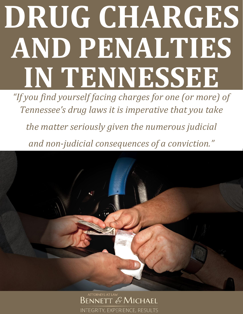# **DRUG CHARGES AND PENALTIES IN TENNESSEE**

*"If you find yourself facing charges for one (or more) of Tennessee's drug laws it is imperative that you take* 

*the matter seriously given the numerous judicial and non-judicial consequences of a conviction."*



ATTORNEYS AT LAW BENNETT & MICHAEL INTEGRITY, EXPERIENCE, RESULTS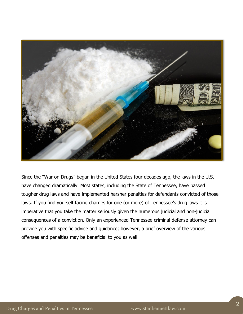

Since the "War on Drugs" began in the United States four decades ago, the laws in the U.S. have changed dramatically. Most states, including the State of Tennessee, have passed tougher drug laws and have implemented harsher penalties for defendants convicted of those laws. If you find yourself facing charges for one (or more) of Tennessee's drug laws it is imperative that you take the matter seriously given the numerous judicial and non-judicial consequences of a conviction. Only an experienced Tennessee criminal defense attorney can provide you with specific advice and guidance; however, a brief overview of the various offenses and penalties may be beneficial to you as well.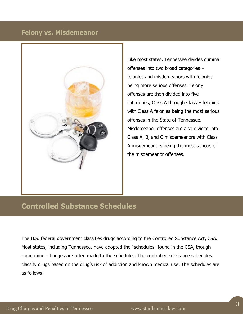#### **Felony vs. Misdemeanor**



Like most states, Tennessee divides criminal offenses into two broad categories – felonies and misdemeanors with felonies being more serious offenses. Felony offenses are then divided into five categories, Class A through Class E felonies with Class A felonies being the most serious offenses in the State of Tennessee. Misdemeanor offenses are also divided into Class A, B, and C misdemeanors with Class A misdemeanors being the most serious of the misdemeanor offenses.

### **Controlled Substance Schedules**

The U.S. federal government classifies drugs according to the Controlled Substance Act, CSA. Most states, including Tennessee, have adopted the "schedules" found in the CSA, though some minor changes are often made to the schedules. The controlled substance schedules classify drugs based on the drug's risk of addiction and known medical use. The schedules are as follows: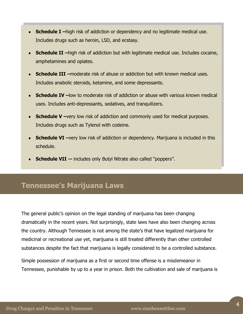- **Schedule I** –high risk of addiction or dependency and no legitimate medical use. Includes drugs such as heroin, LSD, and ecstasy.
- **Schedule II –**high risk of addiction but with legitimate medical use. Includes cocaine, amphetamines and opiates.
- **Schedule III –**moderate risk of abuse or addiction but with known medical uses. Includes anabolic steroids, ketamine, and some depressants.
- **Schedule IV** –low to moderate risk of addiction or abuse with various known medical uses. Includes anti-depressants, sedatives, and tranquilizers.
- **Schedule V** –very low risk of addiction and commonly used for medical purposes. Includes drugs such as Tylenol with codeine.
- **Schedule VI** very low risk of addiction or dependency. Marijuana is included in this schedule.
- **Schedule VII --** includes only Butyl Nitrate also called "poppers".

#### **Tennessee's Marijuana Laws**

The general public's opinion on the legal standing of marijuana has been changing dramatically in the recent years. Not surprisingly, state laws have also been changing across the country. Although Tennessee is not among the state's that have legalized marijuana for medicinal or recreational use yet, marijuana is still treated differently than other controlled substances despite the fact that marijuana is legally considered to be a controlled substance.

Simple possession of marijuana as a first or second time offense is a misdemeanor in Tennessee, punishable by up to a year in prison. Both the cultivation and sale of marijuana is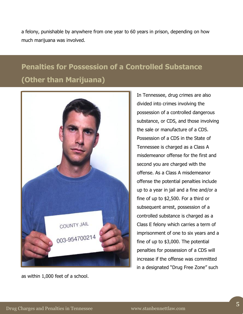a felony, punishable by anywhere from one year to 60 years in prison, depending on how much marijuana was involved.

## **Penalties for Possession of a Controlled Substance (Other than Marijuana)**



as within 1,000 feet of a school.

In Tennessee, drug crimes are also divided into crimes involving the possession of a controlled dangerous substance, or CDS, and those involving the sale or manufacture of a CDS. Possession of a CDS in the State of Tennessee is charged as a Class A misdemeanor offense for the first and second you are charged with the offense. As a Class A misdemeanor offense the potential penalties include up to a year in jail and a fine and/or a fine of up to \$2,500. For a third or subsequent arrest, possession of a controlled substance is charged as a Class E felony which carries a term of imprisonment of one to six years and a fine of up to \$3,000. The potential penalties for possession of a CDS will increase if the offense was committed in a designated "Drug Free Zone" such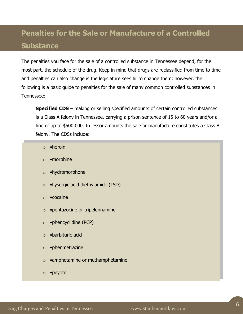## **Penalties for the Sale or Manufacture of a Controlled Substance**

The penalties you face for the sale of a controlled substance in Tennessee depend, for the most part, the schedule of the drug. Keep in mind that drugs are reclassified from time to time and penalties can also change is the legislature sees fir to change them; however, the following is a basic guide to penalties for the sale of many common controlled substances in Tennessee:

**Specified CDS** – making or selling specified amounts of certain controlled substances is a Class A felony in Tennessee, carrying a prison sentence of 15 to 60 years and/or a fine of up to \$500,000. In lessor amounts the sale or manufacture constitutes a Class B felony. The CDSs include:

- $\circ$  •heroin
- o •morphine
- o •hydromorphone
- o •Lysergic acid diethylamide (LSD)
- o •cocaine
- o •pentazocine or tripelennamine
- o •phencyclidine (PCP)
- o •barbituric acid
- o •phenmetrazine
- o •amphetamine or methamphetamine
- o •peyote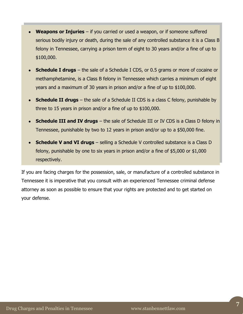- **Weapons or Injuries** if you carried or used a weapon, or if someone suffered serious bodily injury or death, during the sale of any controlled substance it is a Class B felony in Tennessee, carrying a prison term of eight to 30 years and/or a fine of up to \$100,000.
- **Schedule I drugs** the sale of a Schedule I CDS, or 0.5 grams or more of cocaine or methamphetamine, is a Class B felony in Tennessee which carries a minimum of eight years and a maximum of 30 years in prison and/or a fine of up to \$100,000.
- **Schedule II drugs** the sale of a Schedule II CDS is a class C felony, punishable by three to 15 years in prison and/or a fine of up to \$100,000.
- **Schedule III and IV drugs** the sale of Schedule III or IV CDS is a Class D felony in Tennessee, punishable by two to 12 years in prison and/or up to a \$50,000 fine.
- **Schedule V and VI drugs** selling a Schedule V controlled substance is a Class D felony, punishable by one to six years in prison and/or a fine of \$5,000 or \$1,000 respectively.

If you are facing charges for the possession, sale, or manufacture of a controlled substance in Tennessee it is imperative that you consult with an experienced Tennessee criminal defense attorney as soon as possible to ensure that your rights are protected and to get started on your defense.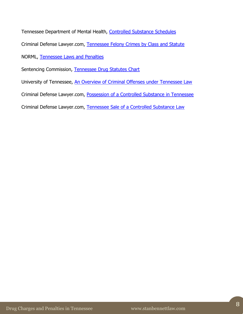Tennessee Department of Mental Health, [Controlled Substance Schedules](https://www.tn.gov/sos/rules/0940/0940-06/0940-06-01.20110407.pdf) Criminal Defense Lawyer.com, [Tennessee Felony Crimes by Class and Statute](http://www.criminaldefenselawyer.com/resources/criminal-defense/state-felony-laws/tennessee-felony-class.htm) NORML, [Tennessee Laws and Penalties](http://norml.org/laws/item/tennessee-penalties-2) Sentencing Commission, [Tennessee Drug Statutes Chart](http://www.lcle.la.gov/sentencing_commission/Resources/I%20C.%20TN%20drug%20laws.pdf) University of Tennessee, [An Overview of Criminal Offenses under Tennessee Law](http://web.utk.edu/~scheb/overview.html) Criminal Defense Lawyer.com, [Possession of a Controlled Substance in Tennessee](http://www.criminaldefenselawyer.com/resources/criminal-defense/drug-charges/tennessee-drug-possession-laws) Criminal Defense Lawyer.com, [Tennessee Sale of a Controlled Substance Law](http://www.criminaldefenselawyer.com/resources/criminal-defense/drug-charges/sale-controlled-substance-tennessee)